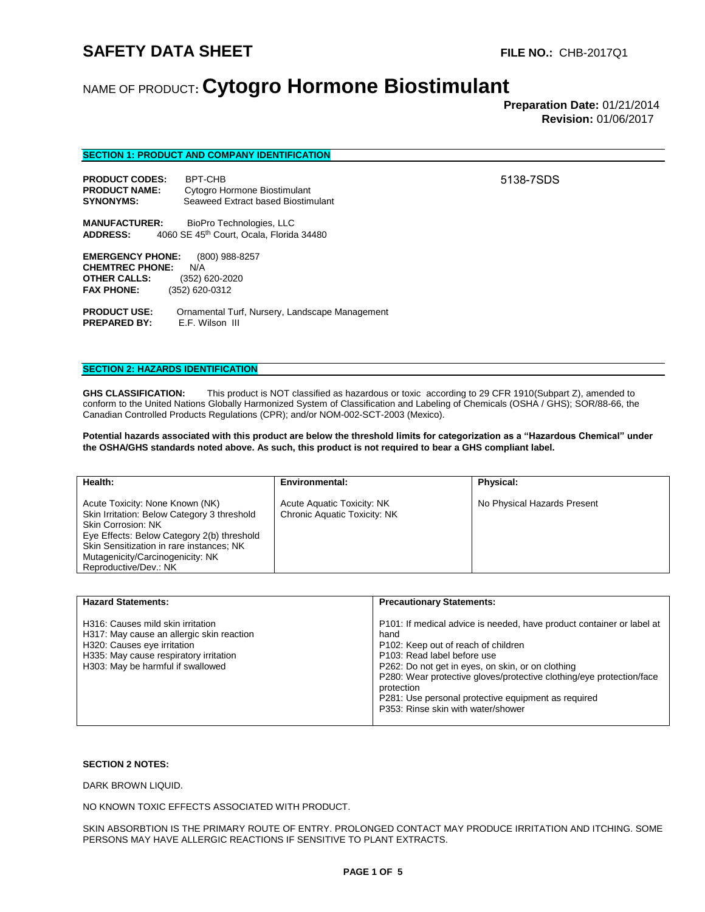5138-7SDS

# NAME OF PRODUCT**: Cytogro Hormone Biostimulant**

 **Preparation Date:** 01/21/2014 **Revision:** 01/06/2017

| <b>SECTION 1: PRODUCT AND COMPANY IDENTIFICATION</b> |  |
|------------------------------------------------------|--|
|                                                      |  |

| <b>PRODUCT CODES:</b> | BPT-CHB                            |
|-----------------------|------------------------------------|
| <b>PRODUCT NAME:</b>  | Cytogro Hormone Biostimulant       |
| <b>SYNONYMS:</b>      | Seaweed Extract based Biostimulant |

**MANUFACTURER:** BioPro Technologies, LLC<br>**ADDRESS:** 4060 SE 45<sup>th</sup> Court, Ocala, Florida **ADDRESS:** 4060 SE 45th Court, Ocala, Florida 34480

**EMERGENCY PHONE:** (800) 988-8257 **CHEMTREC PHONE:** N/A **OTHER CALLS:** (352) 620-2020<br>**FAX PHONE:** (352) 620-0312 **FAX PHONE:** (352) 620-0312

**PRODUCT USE:** Ornamental Turf, Nursery, Landscape Management<br>**PREPARED BY:** E.F. Wilson III **PREPARED BY:** E.F. Wilson III

## **SECTION 2: HAZARDS IDENTIFICATION**

**GHS CLASSIFICATION:** This product is NOT classified as hazardous or toxic according to 29 CFR 1910(Subpart Z), amended to conform to the United Nations Globally Harmonized System of Classification and Labeling of Chemicals (OSHA / GHS); SOR/88-66, the Canadian Controlled Products Regulations (CPR); and/or NOM-002-SCT-2003 (Mexico).

**Potential hazards associated with this product are below the threshold limits for categorization as a "Hazardous Chemical" under the OSHA/GHS standards noted above. As such, this product is not required to bear a GHS compliant label.** 

| Health:                                                                                                                                                                                                                                                     | Environmental:                                                    | <b>Physical:</b>            |
|-------------------------------------------------------------------------------------------------------------------------------------------------------------------------------------------------------------------------------------------------------------|-------------------------------------------------------------------|-----------------------------|
| Acute Toxicity: None Known (NK)<br>Skin Irritation: Below Category 3 threshold<br>Skin Corrosion: NK<br>Eye Effects: Below Category 2(b) threshold<br>Skin Sensitization in rare instances; NK<br>Mutagenicity/Carcinogenicity: NK<br>Reproductive/Dev.: NK | <b>Acute Aquatic Toxicity: NK</b><br>Chronic Aquatic Toxicity: NK | No Physical Hazards Present |

| <b>Hazard Statements:</b>                                                                                                                                                                    | <b>Precautionary Statements:</b>                                                                                                                                                                                                                                                                                                                                                            |
|----------------------------------------------------------------------------------------------------------------------------------------------------------------------------------------------|---------------------------------------------------------------------------------------------------------------------------------------------------------------------------------------------------------------------------------------------------------------------------------------------------------------------------------------------------------------------------------------------|
| H316: Causes mild skin irritation<br>H317: May cause an allergic skin reaction<br>H320: Causes eye irritation<br>H335: May cause respiratory irritation<br>H303: May be harmful if swallowed | P101: If medical advice is needed, have product container or label at<br>hand<br>P102: Keep out of reach of children<br>P103: Read label before use<br>P262: Do not get in eyes, on skin, or on clothing<br>P280: Wear protective gloves/protective clothing/eye protection/face<br>protection<br>P281: Use personal protective equipment as required<br>P353: Rinse skin with water/shower |

### **SECTION 2 NOTES:**

DARK BROWN LIQUID.

NO KNOWN TOXIC EFFECTS ASSOCIATED WITH PRODUCT.

SKIN ABSORBTION IS THE PRIMARY ROUTE OF ENTRY. PROLONGED CONTACT MAY PRODUCE IRRITATION AND ITCHING. SOME PERSONS MAY HAVE ALLERGIC REACTIONS IF SENSITIVE TO PLANT EXTRACTS.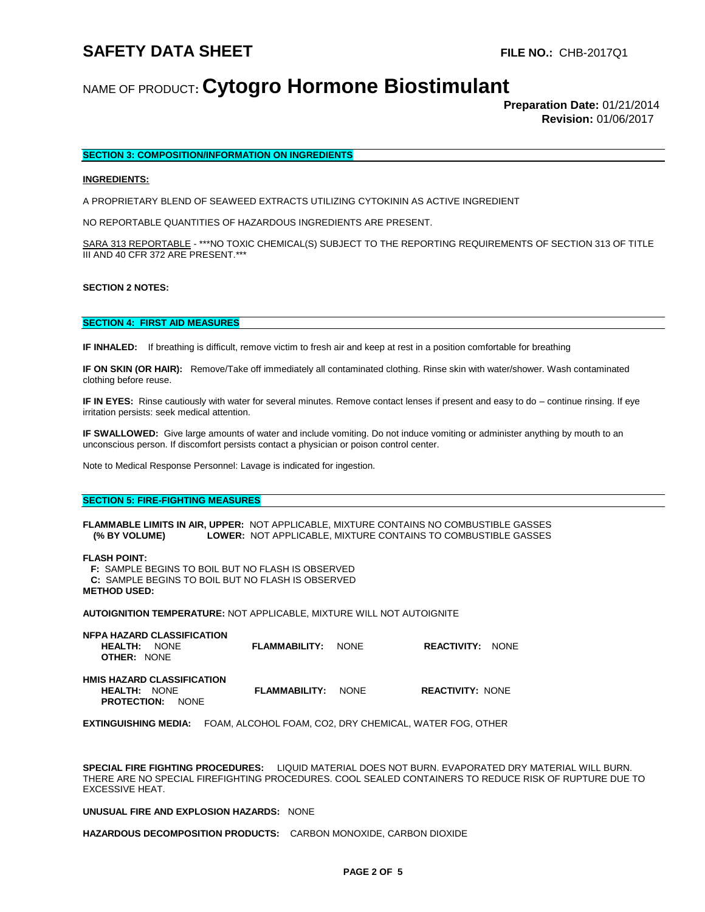# NAME OF PRODUCT**: Cytogro Hormone Biostimulant**

 **Preparation Date:** 01/21/2014 **Revision:** 01/06/2017

## **SECTION 3: COMPOSITION/INFORMATION ON INGREDIENTS**

### **INGREDIENTS:**

A PROPRIETARY BLEND OF SEAWEED EXTRACTS UTILIZING CYTOKININ AS ACTIVE INGREDIENT

NO REPORTABLE QUANTITIES OF HAZARDOUS INGREDIENTS ARE PRESENT.

SARA 313 REPORTABLE - \*\*\*NO TOXIC CHEMICAL(S) SUBJECT TO THE REPORTING REQUIREMENTS OF SECTION 313 OF TITLE III AND 40 CFR 372 ARE PRESENT.\*\*\*

### **SECTION 2 NOTES:**

### **SECTION 4: FIRST AID MEASURES**

**IF INHALED:** If breathing is difficult, remove victim to fresh air and keep at rest in a position comfortable for breathing

**IF ON SKIN (OR HAIR):** Remove/Take off immediately all contaminated clothing. Rinse skin with water/shower. Wash contaminated clothing before reuse.

**IF IN EYES:** Rinse cautiously with water for several minutes. Remove contact lenses if present and easy to do – continue rinsing. If eye irritation persists: seek medical attention.

**IF SWALLOWED:** Give large amounts of water and include vomiting. Do not induce vomiting or administer anything by mouth to an unconscious person. If discomfort persists contact a physician or poison control center.

Note to Medical Response Personnel: Lavage is indicated for ingestion.

#### **SECTION 5: FIRE-FIGHTING MEASURES**

**FLAMMABLE LIMITS IN AIR, UPPER:** NOT APPLICABLE, MIXTURE CONTAINS NO COMBUSTIBLE GASSES  **(% BY VOLUME) LOWER:** NOT APPLICABLE, MIXTURE CONTAINS TO COMBUSTIBLE GASSES

**FLASH POINT:**

 **F:** SAMPLE BEGINS TO BOIL BUT NO FLASH IS OBSERVED  **C:** SAMPLE BEGINS TO BOIL BUT NO FLASH IS OBSERVED **METHOD USED:** 

**AUTOIGNITION TEMPERATURE:** NOT APPLICABLE, MIXTURE WILL NOT AUTOIGNITE

| <b>NFPA HAZARD CLASSIFICATION</b><br><b>HEALTH: NONE</b><br><b>OTHER: NONE</b>      | <b>FLAMMABILITY: NONE</b> | <b>REACTIVITY: NONE</b> |  |
|-------------------------------------------------------------------------------------|---------------------------|-------------------------|--|
| <b>HMIS HAZARD CLASSIFICATION</b><br><b>HEALTH: NONE</b><br><b>PROTECTION:</b> NONE | <b>FLAMMABILITY: NONE</b> | <b>REACTIVITY: NONE</b> |  |

**EXTINGUISHING MEDIA:** FOAM, ALCOHOL FOAM, CO2, DRY CHEMICAL, WATER FOG, OTHER

**SPECIAL FIRE FIGHTING PROCEDURES:** LIQUID MATERIAL DOES NOT BURN. EVAPORATED DRY MATERIAL WILL BURN. THERE ARE NO SPECIAL FIREFIGHTING PROCEDURES. COOL SEALED CONTAINERS TO REDUCE RISK OF RUPTURE DUE TO EXCESSIVE HEAT.

#### **UNUSUAL FIRE AND EXPLOSION HAZARDS:** NONE

**HAZARDOUS DECOMPOSITION PRODUCTS:** CARBON MONOXIDE, CARBON DIOXIDE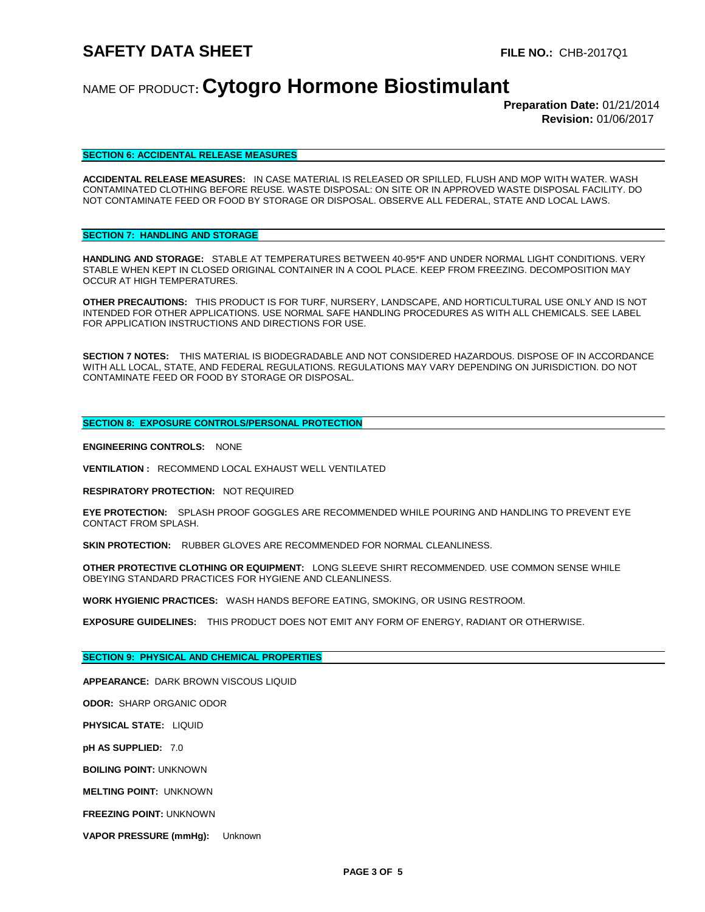# NAME OF PRODUCT**: Cytogro Hormone Biostimulant**

 **Preparation Date:** 01/21/2014 **Revision:** 01/06/2017

### **SECTION 6: ACCIDENTAL RELEASE MEASURES**

**ACCIDENTAL RELEASE MEASURES:** IN CASE MATERIAL IS RELEASED OR SPILLED, FLUSH AND MOP WITH WATER. WASH CONTAMINATED CLOTHING BEFORE REUSE. WASTE DISPOSAL: ON SITE OR IN APPROVED WASTE DISPOSAL FACILITY. DO NOT CONTAMINATE FEED OR FOOD BY STORAGE OR DISPOSAL. OBSERVE ALL FEDERAL, STATE AND LOCAL LAWS.

## **SECTION 7: HANDLING AND STORAGE**

**HANDLING AND STORAGE:** STABLE AT TEMPERATURES BETWEEN 40-95\*F AND UNDER NORMAL LIGHT CONDITIONS. VERY STABLE WHEN KEPT IN CLOSED ORIGINAL CONTAINER IN A COOL PLACE. KEEP FROM FREEZING. DECOMPOSITION MAY OCCUR AT HIGH TEMPERATURES.

**OTHER PRECAUTIONS:** THIS PRODUCT IS FOR TURF, NURSERY, LANDSCAPE, AND HORTICULTURAL USE ONLY AND IS NOT INTENDED FOR OTHER APPLICATIONS. USE NORMAL SAFE HANDLING PROCEDURES AS WITH ALL CHEMICALS. SEE LABEL FOR APPLICATION INSTRUCTIONS AND DIRECTIONS FOR USE.

**SECTION 7 NOTES:** THIS MATERIAL IS BIODEGRADABLE AND NOT CONSIDERED HAZARDOUS. DISPOSE OF IN ACCORDANCE WITH ALL LOCAL, STATE, AND FEDERAL REGULATIONS. REGULATIONS MAY VARY DEPENDING ON JURISDICTION. DO NOT CONTAMINATE FEED OR FOOD BY STORAGE OR DISPOSAL.

## **SECTION 8: EXPOSURE CONTROLS/PERSONAL PROTECTION**

**ENGINEERING CONTROLS:** NONE

**VENTILATION :** RECOMMEND LOCAL EXHAUST WELL VENTILATED

**RESPIRATORY PROTECTION:** NOT REQUIRED

**EYE PROTECTION:** SPLASH PROOF GOGGLES ARE RECOMMENDED WHILE POURING AND HANDLING TO PREVENT EYE CONTACT FROM SPLASH.

**SKIN PROTECTION:** RUBBER GLOVES ARE RECOMMENDED FOR NORMAL CLEANLINESS.

**OTHER PROTECTIVE CLOTHING OR EQUIPMENT:** LONG SLEEVE SHIRT RECOMMENDED. USE COMMON SENSE WHILE OBEYING STANDARD PRACTICES FOR HYGIENE AND CLEANLINESS.

**WORK HYGIENIC PRACTICES:** WASH HANDS BEFORE EATING, SMOKING, OR USING RESTROOM.

**EXPOSURE GUIDELINES:** THIS PRODUCT DOES NOT EMIT ANY FORM OF ENERGY, RADIANT OR OTHERWISE.

## **SECTION 9: PHYSICAL AND CHEMICAL PROPERTIES**

**APPEARANCE:** DARK BROWN VISCOUS LIQUID

**ODOR:** SHARP ORGANIC ODOR

**PHYSICAL STATE:** LIQUID

**pH AS SUPPLIED:** 7.0

**BOILING POINT:** UNKNOWN

**MELTING POINT:** UNKNOWN

**FREEZING POINT:** UNKNOWN

**VAPOR PRESSURE (mmHg):** Unknown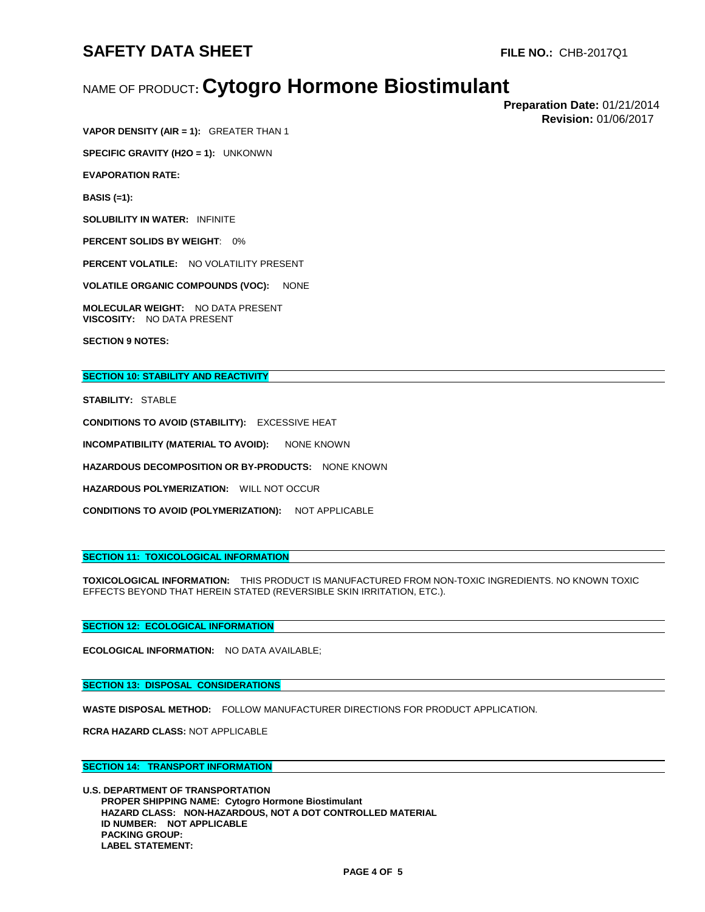# NAME OF PRODUCT**: Cytogro Hormone Biostimulant**

 **Preparation Date:** 01/21/2014 **Revision:** 01/06/2017

**VAPOR DENSITY (AIR = 1):** GREATER THAN 1

**SPECIFIC GRAVITY (H2O = 1):** UNKONWN

**EVAPORATION RATE:** 

**BASIS (=1):** 

**SOLUBILITY IN WATER:** INFINITE

**PERCENT SOLIDS BY WEIGHT**: 0%

**PERCENT VOLATILE:** NO VOLATILITY PRESENT

**VOLATILE ORGANIC COMPOUNDS (VOC):** NONE

**MOLECULAR WEIGHT:** NO DATA PRESENT **VISCOSITY:** NO DATA PRESENT

**SECTION 9 NOTES:**

## **SECTION 10: STABILITY AND REACTIVITY**

**STABILITY:** STABLE

**CONDITIONS TO AVOID (STABILITY):** EXCESSIVE HEAT

**INCOMPATIBILITY (MATERIAL TO AVOID): NONE KNOWN** 

**HAZARDOUS DECOMPOSITION OR BY-PRODUCTS:** NONE KNOWN

**HAZARDOUS POLYMERIZATION:** WILL NOT OCCUR

**CONDITIONS TO AVOID (POLYMERIZATION):** NOT APPLICABLE

## **SECTION 11: TOXICOLOGICAL INFORMATION**

**TOXICOLOGICAL INFORMATION:** THIS PRODUCT IS MANUFACTURED FROM NON-TOXIC INGREDIENTS. NO KNOWN TOXIC EFFECTS BEYOND THAT HEREIN STATED (REVERSIBLE SKIN IRRITATION, ETC.).

### **SECTION 12: ECOLOGICAL INFORMATION**

**ECOLOGICAL INFORMATION:** NO DATA AVAILABLE;

**SECTION 13: DISPOSAL CONSIDERATIONS**

**WASTE DISPOSAL METHOD:** FOLLOW MANUFACTURER DIRECTIONS FOR PRODUCT APPLICATION.

**RCRA HAZARD CLASS:** NOT APPLICABLE

## **SECTION 14: TRANSPORT INFORMATION**

**U.S. DEPARTMENT OF TRANSPORTATION PROPER SHIPPING NAME: Cytogro Hormone Biostimulant HAZARD CLASS: NON-HAZARDOUS, NOT A DOT CONTROLLED MATERIAL ID NUMBER: NOT APPLICABLE PACKING GROUP: LABEL STATEMENT:**